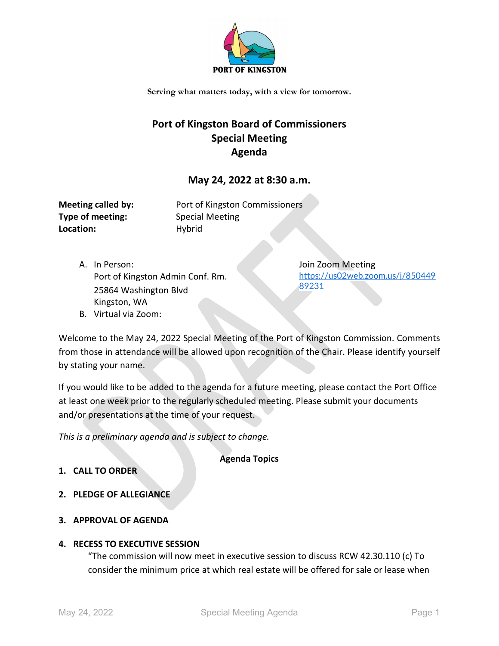

**Serving what matters today, with a view for tomorrow.**

# **Port of Kingston Board of Commissioners Special Meeting Agenda**

# **May 24, 2022 at 8:30 a.m.**

| <b>Meeting called by:</b> |
|---------------------------|
| Type of meeting:          |
| Location:                 |

Port of Kingston Commissioners **Type of meeting:** Special Meeting **Location:** Hybrid

A. In Person: Port of Kingston Admin Conf. Rm. 25864 Washington Blvd Kingston, WA B. Virtual via Zoom:

Join Zoom Meeting [https://us02web.zoom.us/j/850449](https://us02web.zoom.us/j/85044989231) [89231](https://us02web.zoom.us/j/85044989231)

Welcome to the May 24, 2022 Special Meeting of the Port of Kingston Commission. Comments from those in attendance will be allowed upon recognition of the Chair. Please identify yourself by stating your name.

If you would like to be added to the agenda for a future meeting, please contact the Port Office at least one week prior to the regularly scheduled meeting. Please submit your documents and/or presentations at the time of your request.

*This is a preliminary agenda and is subject to change.*

**Agenda Topics**

- **1. CALL TO ORDER**
- **2. PLEDGE OF ALLEGIANCE**
- **3. APPROVAL OF AGENDA**

## **4. RECESS TO EXECUTIVE SESSION**

"The commission will now meet in executive session to discuss RCW 42.30.110 (c) To consider the minimum price at which real estate will be offered for sale or lease when